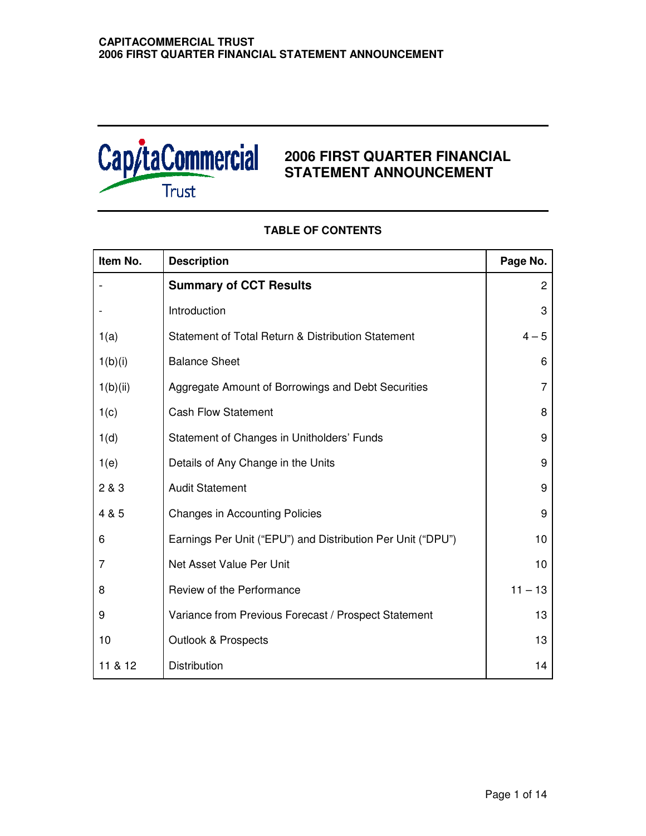

# **2006 FIRST QUARTER FINANCIAL STATEMENT ANNOUNCEMENT**

| Item No. | <b>Description</b>                                          | Page No.  |
|----------|-------------------------------------------------------------|-----------|
|          | <b>Summary of CCT Results</b>                               | 2         |
|          | Introduction                                                | 3         |
| 1(a)     | Statement of Total Return & Distribution Statement          | $4 - 5$   |
| 1(b)(i)  | <b>Balance Sheet</b>                                        | 6         |
| 1(b)(ii) | Aggregate Amount of Borrowings and Debt Securities          | 7         |
| 1(c)     | <b>Cash Flow Statement</b>                                  | 8         |
| 1(d)     | Statement of Changes in Unitholders' Funds                  | 9         |
| 1(e)     | Details of Any Change in the Units                          | 9         |
| 2 & 3    | <b>Audit Statement</b>                                      | 9         |
| 4 & 5    | <b>Changes in Accounting Policies</b>                       | 9         |
| 6        | Earnings Per Unit ("EPU") and Distribution Per Unit ("DPU") | 10        |
| 7        | Net Asset Value Per Unit                                    | 10        |
| 8        | Review of the Performance                                   | $11 - 13$ |
| 9        | Variance from Previous Forecast / Prospect Statement        | 13        |
| 10       | <b>Outlook &amp; Prospects</b>                              | 13        |
| 11 & 12  | Distribution                                                | 14        |

# **TABLE OF CONTENTS**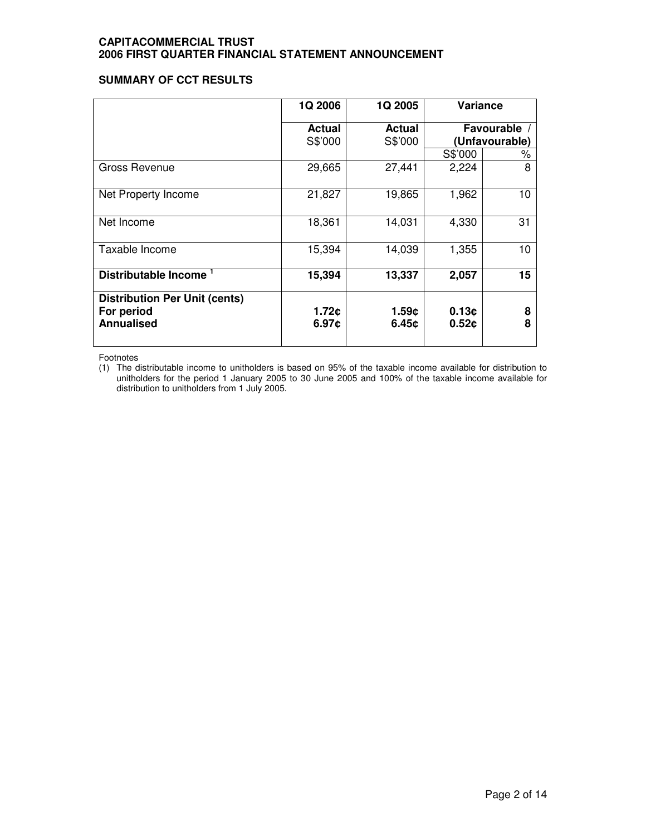# **SUMMARY OF CCT RESULTS**

|                                                                         | 1Q 2006                  | 1Q 2005                  | Variance       |                                |
|-------------------------------------------------------------------------|--------------------------|--------------------------|----------------|--------------------------------|
|                                                                         | <b>Actual</b><br>S\$'000 | <b>Actual</b><br>S\$'000 |                | Favourable /<br>(Unfavourable) |
|                                                                         |                          |                          | S\$'000        | %                              |
| Gross Revenue                                                           | 29,665                   | 27,441                   | 2,224          | 8                              |
| Net Property Income                                                     | 21,827                   | 19,865                   | 1,962          | 10                             |
| Net Income                                                              | 18,361                   | 14,031                   | 4,330          | 31                             |
| Taxable Income                                                          | 15,394                   | 14,039                   | 1,355          | 10                             |
| <b>Distributable Income</b>                                             | 15,394                   | 13,337                   | 2,057          | 15                             |
| <b>Distribution Per Unit (cents)</b><br>For period<br><b>Annualised</b> | 1.72c<br>6.97c           | 1.59c<br>6.45c           | 0.13c<br>0.52c | 8<br>8                         |

Footnotes

(1) The distributable income to unitholders is based on 95% of the taxable income available for distribution to unitholders for the period 1 January 2005 to 30 June 2005 and 100% of the taxable income available for distribution to unitholders from 1 July 2005.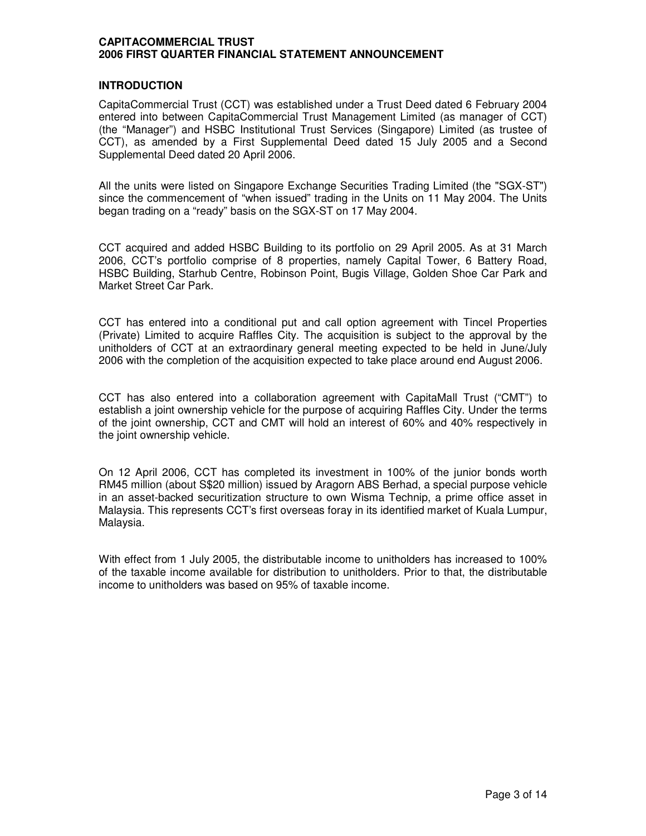# **INTRODUCTION**

CapitaCommercial Trust (CCT) was established under a Trust Deed dated 6 February 2004 entered into between CapitaCommercial Trust Management Limited (as manager of CCT) (the "Manager") and HSBC Institutional Trust Services (Singapore) Limited (as trustee of CCT), as amended by a First Supplemental Deed dated 15 July 2005 and a Second Supplemental Deed dated 20 April 2006.

All the units were listed on Singapore Exchange Securities Trading Limited (the "SGX-ST") since the commencement of "when issued" trading in the Units on 11 May 2004. The Units began trading on a "ready" basis on the SGX-ST on 17 May 2004.

CCT acquired and added HSBC Building to its portfolio on 29 April 2005. As at 31 March 2006, CCT's portfolio comprise of 8 properties, namely Capital Tower, 6 Battery Road, HSBC Building, Starhub Centre, Robinson Point, Bugis Village, Golden Shoe Car Park and Market Street Car Park.

CCT has entered into a conditional put and call option agreement with Tincel Properties (Private) Limited to acquire Raffles City. The acquisition is subject to the approval by the unitholders of CCT at an extraordinary general meeting expected to be held in June/July 2006 with the completion of the acquisition expected to take place around end August 2006.

CCT has also entered into a collaboration agreement with CapitaMall Trust ("CMT") to establish a joint ownership vehicle for the purpose of acquiring Raffles City. Under the terms of the joint ownership, CCT and CMT will hold an interest of 60% and 40% respectively in the joint ownership vehicle.

On 12 April 2006, CCT has completed its investment in 100% of the junior bonds worth RM45 million (about S\$20 million) issued by Aragorn ABS Berhad, a special purpose vehicle in an asset-backed securitization structure to own Wisma Technip, a prime office asset in Malaysia. This represents CCT's first overseas foray in its identified market of Kuala Lumpur, Malaysia.

With effect from 1 July 2005, the distributable income to unitholders has increased to 100% of the taxable income available for distribution to unitholders. Prior to that, the distributable income to unitholders was based on 95% of taxable income.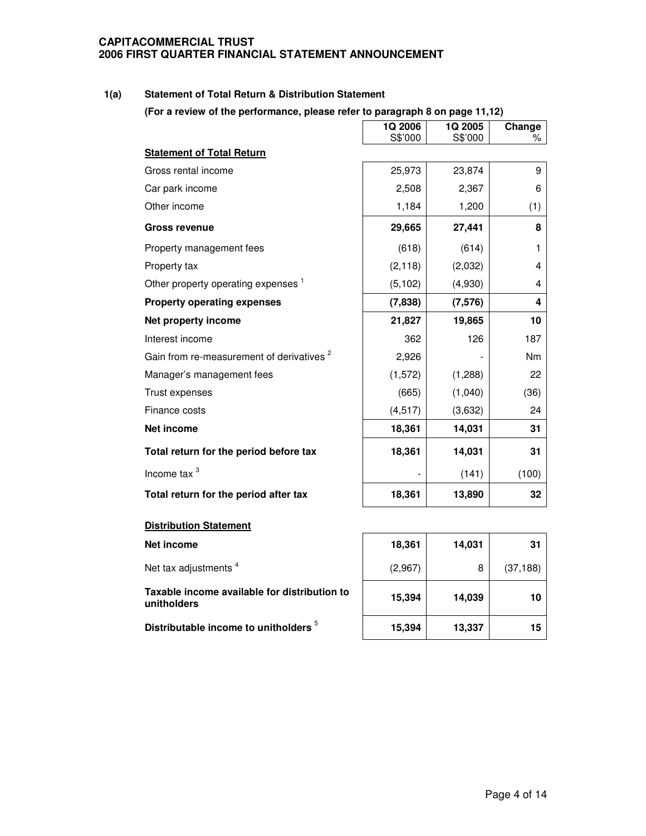### **1(a) Statement of Total Return & Distribution Statement**

**(For a review of the performance, please refer to paragraph 8 on page 11,12)**

|                                                      | 1Q 2006<br>S\$'000 | 1Q 2005<br>S\$'000 | Change<br>% |
|------------------------------------------------------|--------------------|--------------------|-------------|
| <b>Statement of Total Return</b>                     |                    |                    |             |
| Gross rental income                                  | 25,973             | 23,874             | 9           |
| Car park income                                      | 2,508              | 2,367              | 6           |
| Other income                                         | 1,184              | 1,200              | (1)         |
| <b>Gross revenue</b>                                 | 29,665             | 27,441             | 8           |
| Property management fees                             | (618)              | (614)              | 1           |
| Property tax                                         | (2, 118)           | (2,032)            | 4           |
| Other property operating expenses <sup>1</sup>       | (5, 102)           | (4,930)            | 4           |
| <b>Property operating expenses</b>                   | (7,838)            | (7, 576)           | 4           |
| Net property income                                  | 21,827             | 19,865             | 10          |
| Interest income                                      | 362                | 126                | 187         |
| Gain from re-measurement of derivatives <sup>2</sup> | 2,926              |                    | <b>Nm</b>   |
| Manager's management fees                            | (1, 572)           | (1,288)            | 22          |
| Trust expenses                                       | (665)              | (1,040)            | (36)        |
| Finance costs                                        | (4, 517)           | (3,632)            | 24          |
| Net income                                           | 18,361             | 14,031             | 31          |
| Total return for the period before tax               | 18,361             | 14,031             | 31          |
| Income tax <sup>3</sup>                              |                    | (141)              | (100)       |
| Total return for the period after tax                | 18,361             | 13,890             | 32          |
| <b>Distribution Statement</b>                        |                    |                    |             |
| <b>Net income</b>                                    | 18,361             | 14,031             | 31          |

**Net income 18,361 14,031 31** Net tax adjustments<sup>4</sup>  $(2,967)$  8 (37,188) **Taxable income available for distribution to unitholders 15,394 14,039 10 Distributable income to unitholders** 5 **15,394 13,337 15**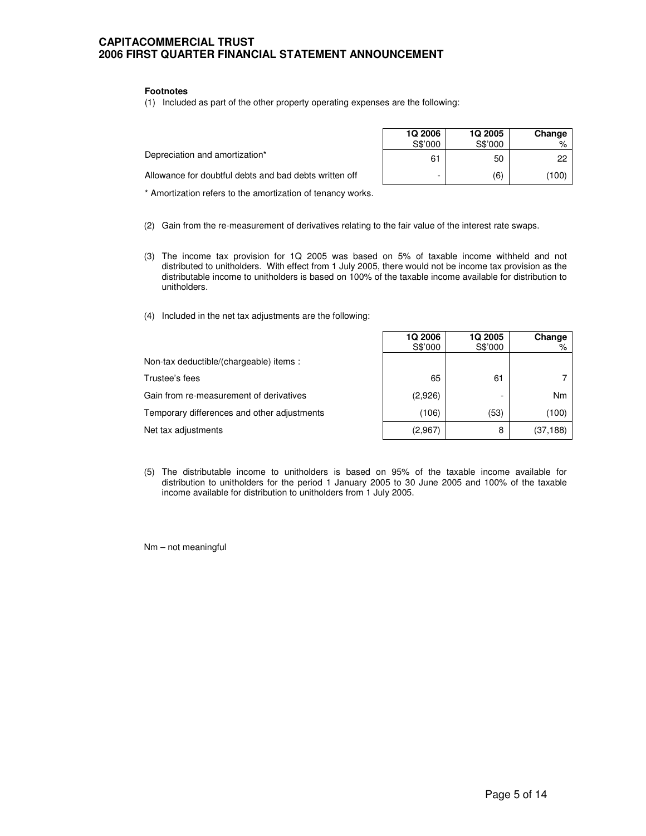#### **Footnotes**

(1) Included as part of the other property operating expenses are the following:

|                                                        | <b>1Q 2006</b><br>S\$'000 | 1Q 2005<br>S\$'000 | Change |
|--------------------------------------------------------|---------------------------|--------------------|--------|
| Depreciation and amortization*                         | 61                        | 50                 | 22     |
| Allowance for doubtful debts and bad debts written off |                           | (6)                | (100)  |

\* Amortization refers to the amortization of tenancy works.

- (2) Gain from the re-measurement of derivatives relating to the fair value of the interest rate swaps.
- (3) The income tax provision for 1Q 2005 was based on 5% of taxable income withheld and not distributed to unitholders. With effect from 1 July 2005, there would not be income tax provision as the distributable income to unitholders is based on 100% of the taxable income available for distribution to unitholders.
- (4) Included in the net tax adjustments are the following:

|                                             | <b>1Q 2006</b> | 1Q 2005 | Change    |
|---------------------------------------------|----------------|---------|-----------|
|                                             | S\$'000        | S\$'000 | %         |
| Non-tax deductible/(chargeable) items:      |                |         |           |
| Trustee's fees                              | 65             | 61      |           |
| Gain from re-measurement of derivatives     | (2,926)        |         | Nm        |
| Temporary differences and other adjustments | (106)          | (53)    | (100)     |
| Net tax adjustments                         | (2,967)        | 8       | (37, 188) |

(5) The distributable income to unitholders is based on 95% of the taxable income available for distribution to unitholders for the period 1 January 2005 to 30 June 2005 and 100% of the taxable income available for distribution to unitholders from 1 July 2005.

Nm – not meaningful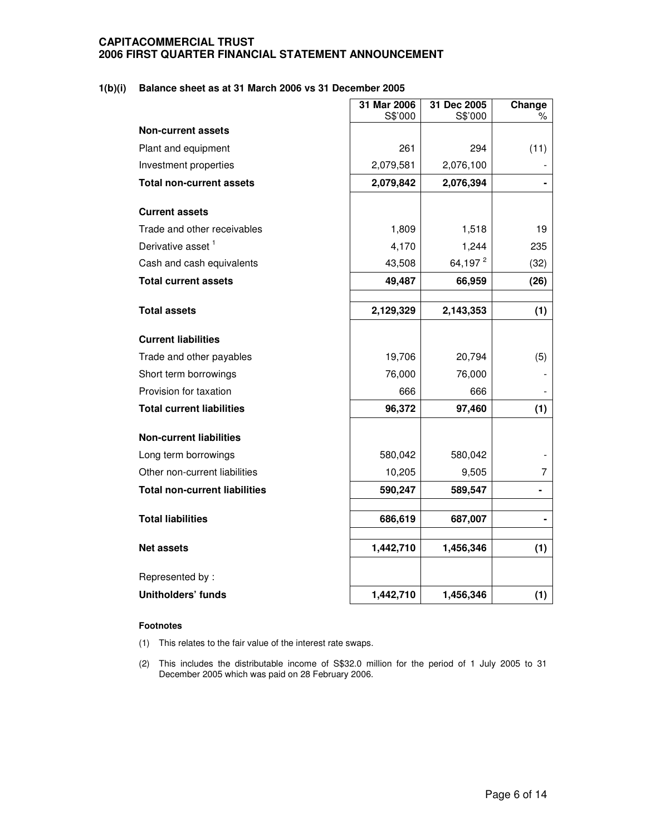### **1(b)(i) Balance sheet as at 31 March 2006 vs 31 December 2005**

|                                              | 31 Mar 2006<br>S\$'000 | 31 Dec 2005<br>S\$'000 | Change<br>℅ |
|----------------------------------------------|------------------------|------------------------|-------------|
| <b>Non-current assets</b>                    |                        |                        |             |
| Plant and equipment                          | 261                    | 294                    | (11)        |
| Investment properties                        | 2,079,581              | 2,076,100              |             |
| <b>Total non-current assets</b>              | 2,079,842              | 2,076,394              |             |
| <b>Current assets</b>                        |                        |                        |             |
| Trade and other receivables                  | 1,809                  | 1,518                  | 19          |
| Derivative asset <sup>1</sup>                | 4,170                  | 1,244                  | 235         |
| Cash and cash equivalents                    | 43,508                 | 64,197 <sup>2</sup>    | (32)        |
| <b>Total current assets</b>                  | 49,487                 | 66,959                 | (26)        |
|                                              |                        |                        |             |
| <b>Total assets</b>                          | 2,129,329              | 2,143,353              | (1)         |
| <b>Current liabilities</b>                   |                        |                        |             |
| Trade and other payables                     | 19,706                 | 20,794                 | (5)         |
| Short term borrowings                        | 76,000                 | 76,000                 |             |
| Provision for taxation                       | 666                    | 666                    |             |
| <b>Total current liabilities</b>             | 96,372                 | 97,460                 | (1)         |
| <b>Non-current liabilities</b>               |                        |                        |             |
| Long term borrowings                         | 580,042                | 580,042                |             |
| Other non-current liabilities                | 10,205                 | 9,505                  | 7           |
| <b>Total non-current liabilities</b>         | 590,247                | 589,547                |             |
|                                              |                        |                        |             |
| <b>Total liabilities</b>                     | 686,619                | 687,007                |             |
| <b>Net assets</b>                            | 1,442,710              | 1,456,346              | (1)         |
|                                              |                        |                        |             |
| Represented by:<br><b>Unitholders' funds</b> | 1,442,710              | 1,456,346              |             |
|                                              |                        |                        | (1)         |

#### **Footnotes**

(1) This relates to the fair value of the interest rate swaps.

(2) This includes the distributable income of S\$32.0 million for the period of 1 July 2005 to 31 December 2005 which was paid on 28 February 2006.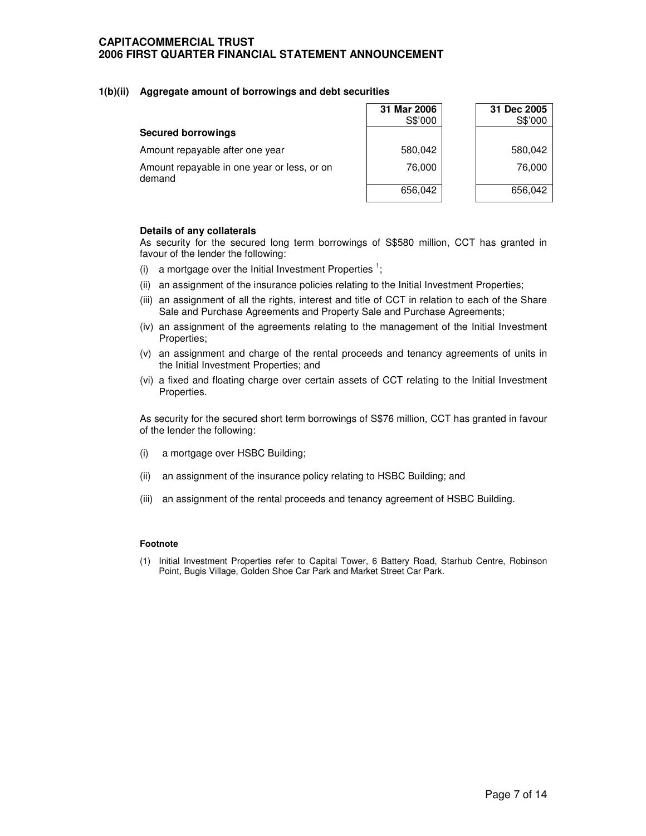#### **1(b)(ii) Aggregate amount of borrowings and debt securities**

|                                                       | 31 Mar 2006<br>S\$'000 | 31 Dec 2005<br>S\$'000 |
|-------------------------------------------------------|------------------------|------------------------|
| <b>Secured borrowings</b>                             |                        |                        |
| Amount repayable after one year                       | 580,042                | 580,042                |
| Amount repayable in one year or less, or on<br>demand | 76,000                 | 76,000                 |
|                                                       | 656,042                | 656,042                |

#### **Details of any collaterals**

As security for the secured long term borrowings of S\$580 million, CCT has granted in favour of the lender the following:

- (i) a mortgage over the Initial Investment Properties<sup>1</sup>;
- (ii) an assignment of the insurance policies relating to the Initial Investment Properties;
- (iii) an assignment of all the rights, interest and title of CCT in relation to each of the Share Sale and Purchase Agreements and Property Sale and Purchase Agreements;
- (iv) an assignment of the agreements relating to the management of the Initial Investment Properties;
- (v) an assignment and charge of the rental proceeds and tenancy agreements of units in the Initial Investment Properties; and
- (vi) a fixed and floating charge over certain assets of CCT relating to the Initial Investment Properties.

As security for the secured short term borrowings of S\$76 million, CCT has granted in favour of the lender the following:

- (i) a mortgage over HSBC Building;
- (ii) an assignment of the insurance policy relating to HSBC Building; and
- (iii) an assignment of the rental proceeds and tenancy agreement of HSBC Building.

#### **Footnote**

(1) Initial Investment Properties refer to Capital Tower, 6 Battery Road, Starhub Centre, Robinson Point, Bugis Village, Golden Shoe Car Park and Market Street Car Park.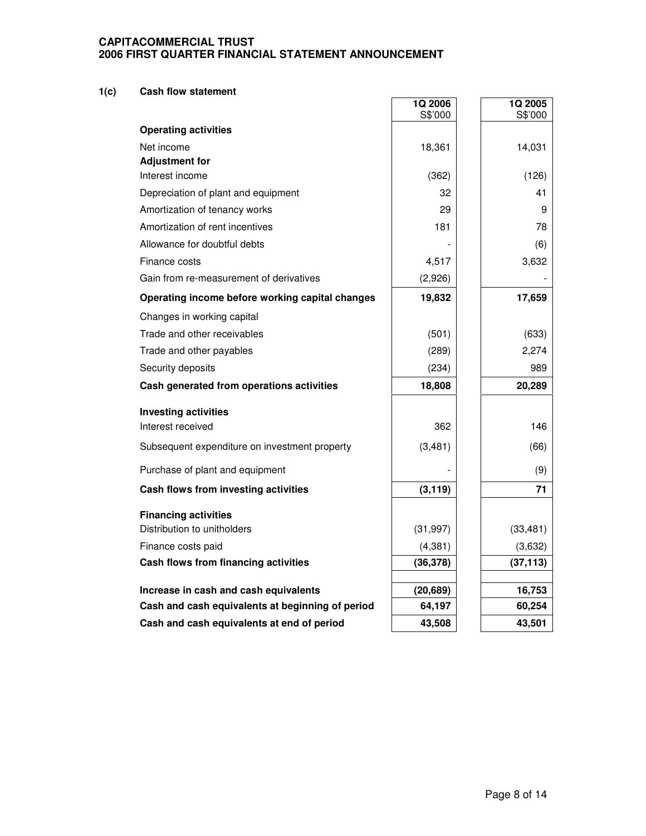### **1(c) Cash flow statement**

|                                                  | 1Q 2006<br>S\$'000 | 1Q 2005<br>S\$'000 |
|--------------------------------------------------|--------------------|--------------------|
| <b>Operating activities</b>                      |                    |                    |
| Net income                                       | 18,361             | 14,031             |
| <b>Adjustment for</b>                            |                    |                    |
| Interest income                                  | (362)              | (126)              |
| Depreciation of plant and equipment              | 32                 | 41                 |
| Amortization of tenancy works                    | 29                 | 9                  |
| Amortization of rent incentives                  | 181                | 78                 |
| Allowance for doubtful debts                     |                    | (6)                |
| Finance costs                                    | 4,517              | 3,632              |
| Gain from re-measurement of derivatives          | (2,926)            |                    |
| Operating income before working capital changes  | 19,832             | 17,659             |
| Changes in working capital                       |                    |                    |
| Trade and other receivables                      | (501)              | (633)              |
| Trade and other payables                         | (289)              | 2,274              |
| Security deposits                                | (234)              | 989                |
| Cash generated from operations activities        | 18,808             | 20,289             |
| <b>Investing activities</b>                      |                    |                    |
| Interest received                                | 362                | 146                |
| Subsequent expenditure on investment property    | (3,481)            | (66)               |
| Purchase of plant and equipment                  |                    | (9)                |
| Cash flows from investing activities             | (3, 119)           | 71                 |
| <b>Financing activities</b>                      |                    |                    |
| Distribution to unitholders                      | (31, 997)          | (33, 481)          |
| Finance costs paid                               | (4, 381)           | (3,632)            |
| Cash flows from financing activities             | (36, 378)          | (37, 113)          |
| Increase in cash and cash equivalents            | (20, 689)          | 16,753             |
| Cash and cash equivalents at beginning of period | 64,197             | 60,254             |
| Cash and cash equivalents at end of period       | 43,508             | 43,501             |

 $\mathbf{r}$ 

J.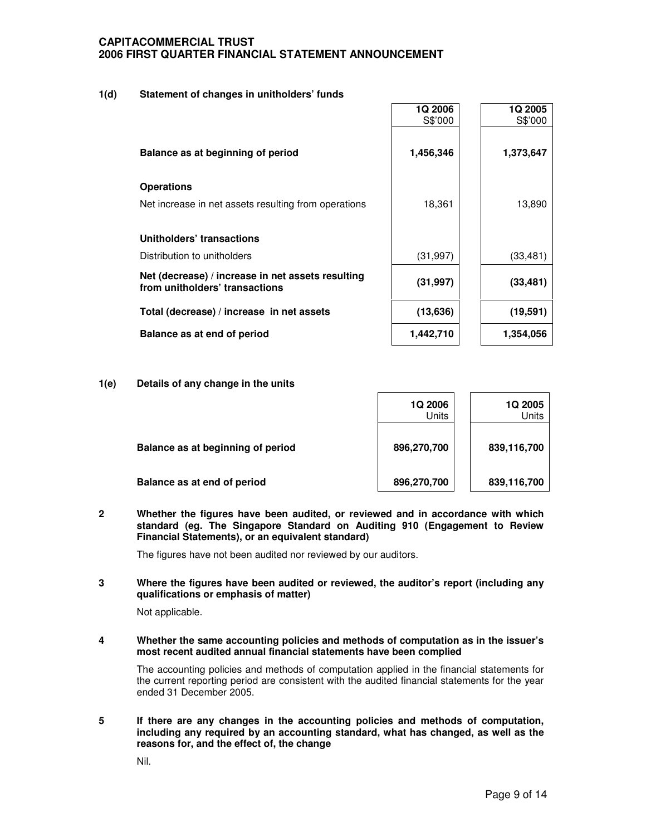### **1(d) Statement of changes in unitholders' funds**

|                                                                                     | <b>1Q 2006</b><br>S\$'000 | <b>1Q 2005</b><br>S\$'000 |
|-------------------------------------------------------------------------------------|---------------------------|---------------------------|
| Balance as at beginning of period                                                   | 1,456,346                 | 1,373,647                 |
| <b>Operations</b>                                                                   |                           |                           |
| Net increase in net assets resulting from operations                                | 18,361                    | 13,890                    |
| Unitholders' transactions                                                           |                           |                           |
| Distribution to unitholders                                                         | (31, 997)                 | (33, 481)                 |
| Net (decrease) / increase in net assets resulting<br>from unitholders' transactions | (31, 997)                 | (33, 481)                 |
| Total (decrease) / increase in net assets                                           | (13, 636)                 | (19, 591)                 |
| Balance as at end of period                                                         | 1,442,710                 | 1,354,056                 |

#### **1(e) Details of any change in the units**

|                                   | 1Q 2006<br>Units | <b>1Q 2005</b><br>Units |
|-----------------------------------|------------------|-------------------------|
| Balance as at beginning of period | 896,270,700      | 839,116,700             |
| Balance as at end of period       | 896,270,700      | 839,116,700             |

**2 Whether the figures have been audited, or reviewed and in accordance with which standard (eg. The Singapore Standard on Auditing 910 (Engagement to Review Financial Statements), or an equivalent standard)**

The figures have not been audited nor reviewed by our auditors.

**3 Where the figures have been audited or reviewed, the auditor's report (including any qualifications or emphasis of matter)**

Not applicable.

**4 Whether the same accounting policies and methods of computation as in the issuer's most recent audited annual financial statements have been complied**

The accounting policies and methods of computation applied in the financial statements for the current reporting period are consistent with the audited financial statements for the year ended 31 December 2005.

**5 If there are any changes in the accounting policies and methods of computation, including any required by an accounting standard, what has changed, as well as the reasons for, and the effect of, the change**

Nil.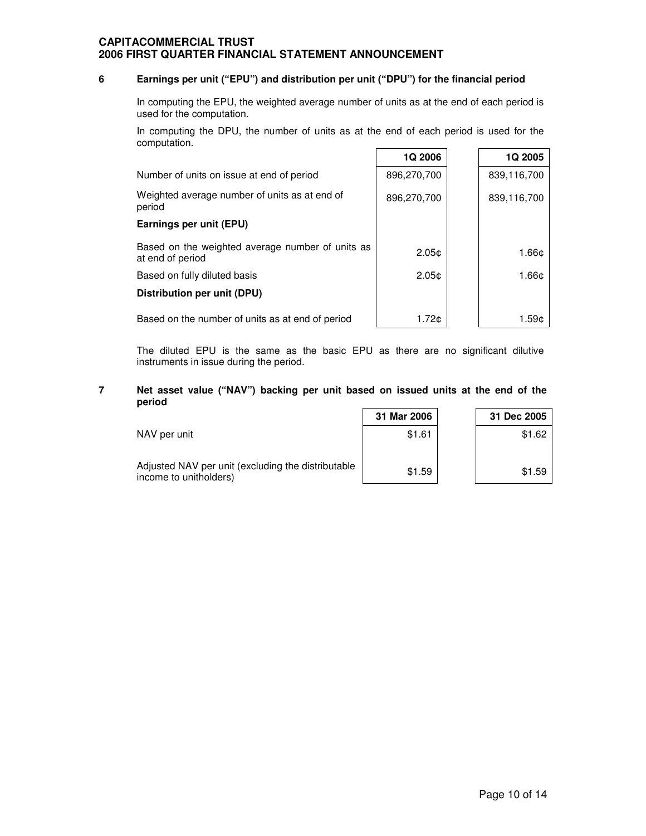#### **6 Earnings per unit ("EPU") and distribution per unit ("DPU") for the financial period**

In computing the EPU, the weighted average number of units as at the end of each period is used for the computation.

In computing the DPU, the number of units as at the end of each period is used for the computation. Ē

|                                                                      | 1Q 2006           | 1Q 2005     |
|----------------------------------------------------------------------|-------------------|-------------|
| Number of units on issue at end of period                            | 896,270,700       | 839,116,700 |
| Weighted average number of units as at end of<br>period              | 896,270,700       | 839,116,700 |
| Earnings per unit (EPU)                                              |                   |             |
| Based on the weighted average number of units as<br>at end of period | 2.05 <sub>c</sub> | 1.66c       |
| Based on fully diluted basis                                         | 2.05 <sub>c</sub> | 1.66c       |
| Distribution per unit (DPU)                                          |                   |             |
| Based on the number of units as at end of period                     | 1.72¢             | 1.59¢       |

The diluted EPU is the same as the basic EPU as there are no significant dilutive instruments in issue during the period.

### **7 Net asset value ("NAV") backing per unit based on issued units at the end of the period**

|                                                                              | 31 Mar 2006 | 31 Dec 2005 |
|------------------------------------------------------------------------------|-------------|-------------|
| NAV per unit                                                                 | \$1.61      | \$1.62      |
| Adjusted NAV per unit (excluding the distributable<br>income to unitholders) | \$1.59      | \$1.59      |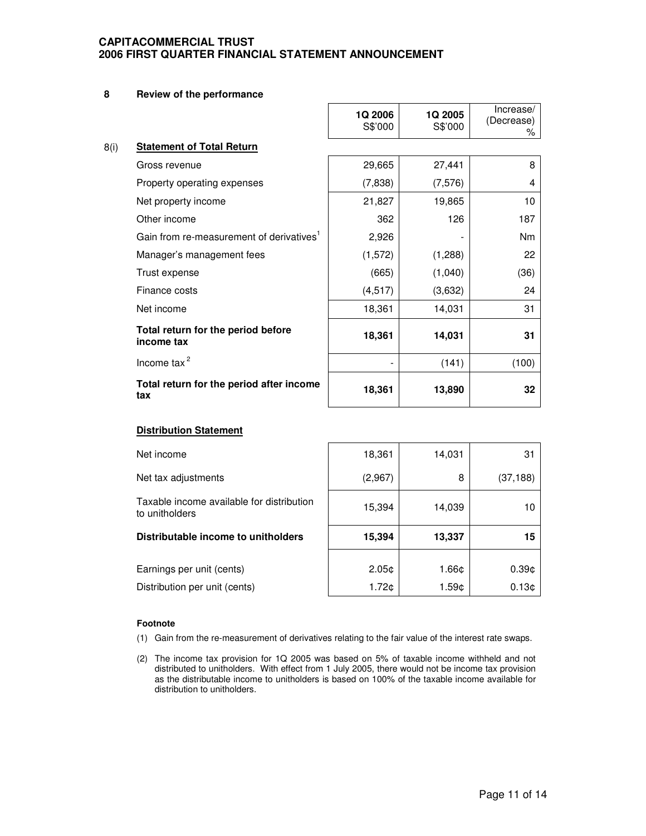#### **8 Review of the performance**

|                                                      | <b>1Q 2006</b><br>S\$'000 | <b>1Q 2005</b><br>S\$'000 | Increase/<br>(Decrease)<br>% |
|------------------------------------------------------|---------------------------|---------------------------|------------------------------|
| 8(i)<br><b>Statement of Total Return</b>             |                           |                           |                              |
| Gross revenue                                        | 29,665                    | 27,441                    | 8                            |
| Property operating expenses                          | (7,838)                   | (7, 576)                  | 4                            |
| Net property income                                  | 21,827                    | 19,865                    | 10                           |
| Other income                                         | 362                       | 126                       | 187                          |
| Gain from re-measurement of derivatives <sup>1</sup> | 2,926                     |                           | Nm                           |
| Manager's management fees                            | (1, 572)                  | (1,288)                   | 22                           |
| Trust expense                                        | (665)                     | (1,040)                   | (36)                         |
| Finance costs                                        | (4, 517)                  | (3,632)                   | 24                           |
| Net income                                           | 18,361                    | 14,031                    | 31                           |
| Total return for the period before<br>income tax     | 18,361                    | 14,031                    | 31                           |
| Income tax $^2$                                      |                           | (141)                     | (100)                        |
| Total return for the period after income<br>tax      | 18,361                    | 13,890                    | 32                           |

# **Distribution Statement**

| Net income                                                  | 18,361            | 14,031 | 31                |
|-------------------------------------------------------------|-------------------|--------|-------------------|
| Net tax adjustments                                         | (2,967)           | 8      | (37, 188)         |
| Taxable income available for distribution<br>to unitholders | 15,394            | 14,039 | 10                |
| Distributable income to unitholders                         | 15,394            | 13,337 | 15                |
|                                                             |                   |        |                   |
| Earnings per unit (cents)                                   | 2.05 <sub>c</sub> | 1.66¢  | 0.39c             |
| Distribution per unit (cents)                               | 1.72c             | 1.59¢  | 0.13 <sub>c</sub> |

#### **Footnote**

- (1) Gain from the re-measurement of derivatives relating to the fair value of the interest rate swaps.
- (2) The income tax provision for 1Q 2005 was based on 5% of taxable income withheld and not distributed to unitholders. With effect from 1 July 2005, there would not be income tax provision as the distributable income to unitholders is based on 100% of the taxable income available for distribution to unitholders.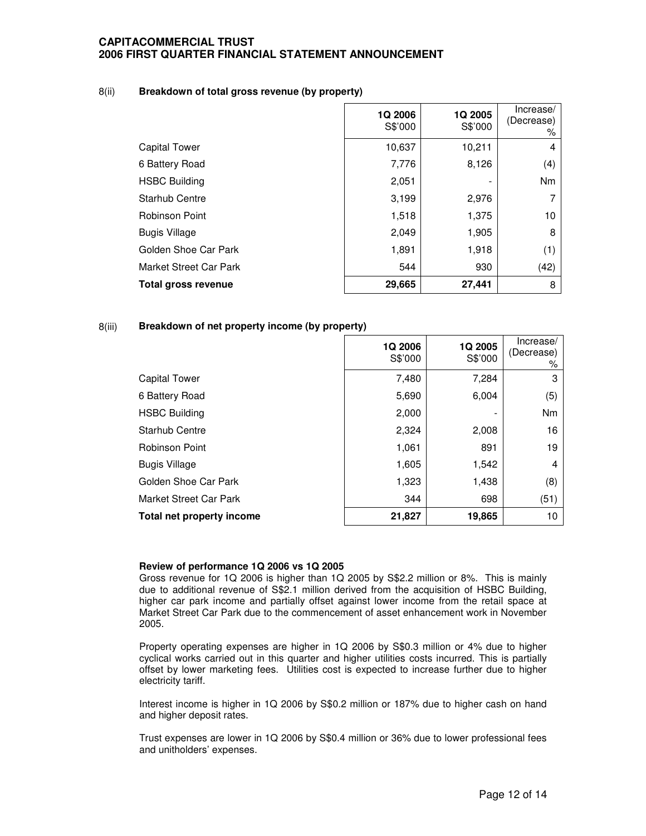#### 8(ii) **Breakdown of total gross revenue (by property)**

|                        | <b>1Q 2006</b><br>S\$'000 | 1Q 2005<br>S\$'000 | Increase/<br>(Decrease)<br>% |
|------------------------|---------------------------|--------------------|------------------------------|
| Capital Tower          | 10,637                    | 10,211             | 4                            |
| 6 Battery Road         | 7,776                     | 8,126              | (4)                          |
| <b>HSBC Building</b>   | 2,051                     |                    | Nm                           |
| <b>Starhub Centre</b>  | 3,199                     | 2,976              |                              |
| <b>Robinson Point</b>  | 1,518                     | 1,375              | 10                           |
| <b>Bugis Village</b>   | 2,049                     | 1,905              | 8                            |
| Golden Shoe Car Park   | 1,891                     | 1,918              | (1)                          |
| Market Street Car Park | 544                       | 930                | (42)                         |
| Total gross revenue    | 29,665                    | 27,441             | 8                            |

### 8(iii) **Breakdown of net property income (by property)**

|                               | 1Q 2006<br>S\$'000 | 1Q 2005<br>S\$'000 | Increase/<br>(Decrease)<br>% |
|-------------------------------|--------------------|--------------------|------------------------------|
| <b>Capital Tower</b>          | 7,480              | 7,284              | 3                            |
| 6 Battery Road                | 5,690              | 6,004              | (5)                          |
| <b>HSBC Building</b>          | 2,000              |                    | Nm                           |
| <b>Starhub Centre</b>         | 2,324              | 2,008              | 16                           |
| Robinson Point                | 1,061              | 891                | 19                           |
| <b>Bugis Village</b>          | 1,605              | 1,542              | 4                            |
| Golden Shoe Car Park          | 1,323              | 1,438              | (8)                          |
| <b>Market Street Car Park</b> | 344                | 698                | (51)                         |
| Total net property income     | 21,827             | 19,865             | 10                           |

#### **Review of performance 1Q 2006 vs 1Q 2005**

Gross revenue for 1Q 2006 is higher than 1Q 2005 by S\$2.2 million or 8%. This is mainly due to additional revenue of S\$2.1 million derived from the acquisition of HSBC Building, higher car park income and partially offset against lower income from the retail space at Market Street Car Park due to the commencement of asset enhancement work in November 2005.

Property operating expenses are higher in 1Q 2006 by S\$0.3 million or 4% due to higher cyclical works carried out in this quarter and higher utilities costs incurred. This is partially offset by lower marketing fees. Utilities cost is expected to increase further due to higher electricity tariff.

Interest income is higher in 1Q 2006 by S\$0.2 million or 187% due to higher cash on hand and higher deposit rates.

Trust expenses are lower in 1Q 2006 by S\$0.4 million or 36% due to lower professional fees and unitholders' expenses.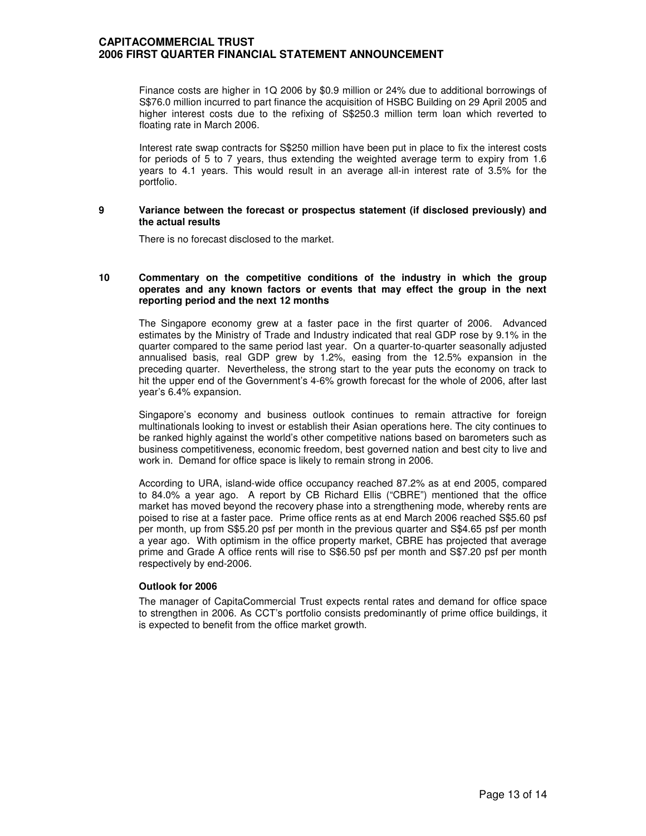Finance costs are higher in 1Q 2006 by \$0.9 million or 24% due to additional borrowings of S\$76.0 million incurred to part finance the acquisition of HSBC Building on 29 April 2005 and higher interest costs due to the refixing of S\$250.3 million term loan which reverted to floating rate in March 2006.

Interest rate swap contracts for S\$250 million have been put in place to fix the interest costs for periods of 5 to 7 years, thus extending the weighted average term to expiry from 1.6 years to 4.1 years. This would result in an average all-in interest rate of 3.5% for the portfolio.

#### **9 Variance between the forecast or prospectus statement (if disclosed previously) and the actual results**

There is no forecast disclosed to the market.

#### **10 Commentary on the competitive conditions of the industry in which the group operates and any known factors or events that may effect the group in the next reporting period and the next 12 months**

The Singapore economy grew at a faster pace in the first quarter of 2006. Advanced estimates by the Ministry of Trade and Industry indicated that real GDP rose by 9.1% in the quarter compared to the same period last year. On a quarter-to-quarter seasonally adjusted annualised basis, real GDP grew by 1.2%, easing from the 12.5% expansion in the preceding quarter. Nevertheless, the strong start to the year puts the economy on track to hit the upper end of the Government's 4-6% growth forecast for the whole of 2006, after last year's 6.4% expansion.

Singapore's economy and business outlook continues to remain attractive for foreign multinationals looking to invest or establish their Asian operations here. The city continues to be ranked highly against the world's other competitive nations based on barometers such as business competitiveness, economic freedom, best governed nation and best city to live and work in. Demand for office space is likely to remain strong in 2006.

According to URA, island-wide office occupancy reached 87.2% as at end 2005, compared to 84.0% a year ago. A report by CB Richard Ellis ("CBRE") mentioned that the office market has moved beyond the recovery phase into a strengthening mode, whereby rents are poised to rise at a faster pace. Prime office rents as at end March 2006 reached S\$5.60 psf per month, up from S\$5.20 psf per month in the previous quarter and S\$4.65 psf per month a year ago. With optimism in the office property market, CBRE has projected that average prime and Grade A office rents will rise to S\$6.50 psf per month and S\$7.20 psf per month respectively by end-2006.

### **Outlook for 2006**

The manager of CapitaCommercial Trust expects rental rates and demand for office space to strengthen in 2006. As CCT's portfolio consists predominantly of prime office buildings, it is expected to benefit from the office market growth.